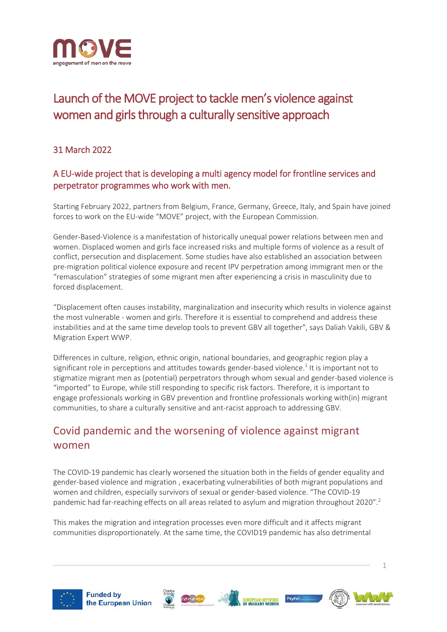

# Launch of the MOVE project to tackle men's violence against women and girls through a culturally sensitive approach

#### 31 March 2022

#### A EU-wide project that is developing a multi agency model for frontline services and perpetrator programmes who work with men.

Starting February 2022, partners from Belgium, France, Germany, Greece, Italy, and Spain have joined forces to work on the EU-wide "MOVE" project, with the European Commission.

Gender-Based-Violence is a manifestation of historically unequal power relations between men and women. Displaced women and girls face increased risks and multiple forms of violence as a result of conflict, persecution and displacement. Some studies have also established an association between pre-migration political violence exposure and recent IPV perpetration among immigrant men or the "remasculation" strategies of some migrant men after experiencing a crisis in masculinity due to forced displacement.

"Displacement often causes instability, marginalization and insecurity which results in violence against the most vulnerable - women and girls. Therefore it is essential to comprehend and address these instabilities and at the same time develop tools to prevent GBV all together", says Daliah Vakili, GBV & Migration Expert WWP.

Differences in culture, religion, ethnic origin, national boundaries, and geographic region play a significant role in perceptions and attitudes towards gender-based violence.<sup>1</sup> It is important not to stigmatize migrant men as (potential) perpetrators through whom sexual and gender-based violence is "imported" to Europe, while still responding to specific risk factors. Therefore, it is important to engage professionals working in GBV prevention and frontline professionals working with(in) migrant communities, to share a culturally sensitive and ant-racist approach to addressing GBV.

## Covid pandemic and the worsening of violence against migrant women

The COVID-19 pandemic has clearly worsened the situation both in the fields of gender equality and gender-based violence and migration , exacerbating vulnerabilities of both migrant populations and women and children, especially survivors of sexual or gender-based violence. "The COVID-19 pandemic had far-reaching effects on all areas related to asylum and migration throughout 2020".<sup>2</sup>

This makes the migration and integration processes even more difficult and it affects migrant communities disproportionately. At the same time, the COVID19 pandemic has also detrimental









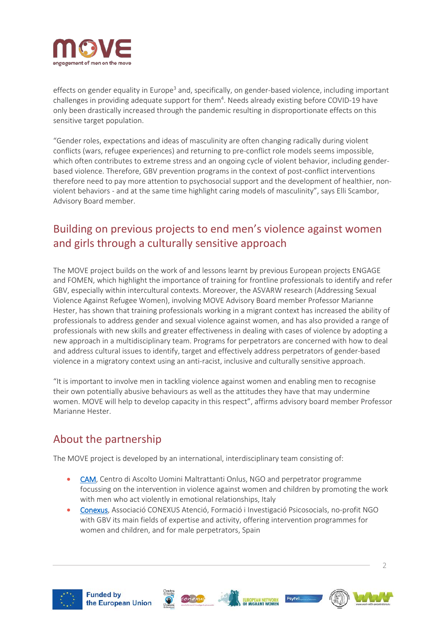

effects on gender equality in Europe<sup>3</sup> and, specifically, on gender-based violence, including important challenges in providing adequate support for them<sup>4</sup>. Needs already existing before COVID-19 have only been drastically increased through the pandemic resulting in disproportionate effects on this sensitive target population.

"Gender roles, expectations and ideas of masculinity are often changing radically during violent conflicts (wars, refugee experiences) and returning to pre-conflict role models seems impossible, which often contributes to extreme stress and an ongoing cycle of violent behavior, including genderbased violence. Therefore, GBV prevention programs in the context of post-conflict interventions therefore need to pay more attention to psychosocial support and the development of healthier, nonviolent behaviors - and at the same time highlight caring models of masculinity", says Elli Scambor, Advisory Board member.

### Building on previous projects to end men's violence against women and girls through a culturally sensitive approach

The MOVE project builds on the work of and lessons learnt by previous European projects ENGAGE and FOMEN, which highlight the importance of training for frontline professionals to identify and refer GBV, especially within intercultural contexts. Moreover, the ASVARW research (Addressing Sexual Violence Against Refugee Women), involving MOVE Advisory Board member Professor Marianne Hester, has shown that training professionals working in a migrant context has increased the ability of professionals to address gender and sexual violence against women, and has also provided a range of professionals with new skills and greater effectiveness in dealing with cases of violence by adopting a new approach in a multidisciplinary team. Programs for perpetrators are concerned with how to deal and address cultural issues to identify, target and effectively address perpetrators of gender-based violence in a migratory context using an anti-racist, inclusive and culturally sensitive approach.

"It is important to involve men in tackling violence against women and enabling men to recognise their own potentially abusive behaviours as well as the attitudes they have that may undermine women. MOVE will help to develop capacity in this respect", affirms advisory board member Professor Marianne Hester.

### About the partnership

The MOVE project is developed by an international, interdisciplinary team consisting of:

- [CAM,](https://www.centrouominimaltrattanti.org/) Centro di Ascolto Uomini Maltrattanti Onlus, NGO and perpetrator programme focussing on the intervention in violence against women and children by promoting the work with men who act violently in emotional relationships, Italy
- [Conexus,](https://conexus.cat/) Associació CONEXUS Atenció, Formació i Investigació Psicosocials, no-profit NGO with GBV its main fields of expertise and activity, offering intervention programmes for women and children, and for male perpetrators, Spain











 $\overline{\phantom{a}}$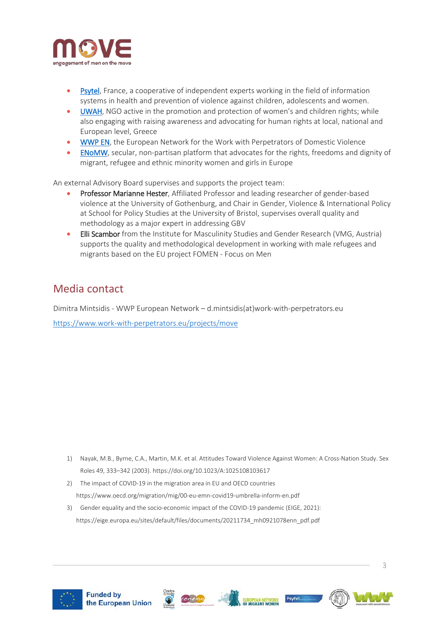

- [Psytel,](https://psytel.es/) France, a cooperative of independent experts working in the field of information systems in health and prevention of violence against children, adolescents and women.
- [UWAH,](https://kakopoiisi.gr/) NGO active in the promotion and protection of women's and children rights; while also engaging with raising awareness and advocating for human rights at local, national and European level, Greece
- [WWP EN,](https://www.work-with-perpetrators.eu/) the European Network for the Work with Perpetrators of Domestic Violence
- [ENoMW,](https://www.migrantwomennetwork.org/) secular, non-partisan platform that advocates for the rights, freedoms and dignity of migrant, refugee and ethnic minority women and girls in Europe

An external Advisory Board supervises and supports the project team:

- Professor Marianne Hester, Affiliated Professor and leading researcher of gender-based violence at the University of Gothenburg, and Chair in Gender, Violence & International Policy at School for Policy Studies at the University of Bristol, supervises overall quality and methodology as a major expert in addressing GBV
- Elli Scambor from the Institute for Masculinity Studies and Gender Research (VMG, Austria) supports the quality and methodological development in working with male refugees and migrants based on the EU project FOMEN - Focus on Men

#### Media contact

Dimitra Mintsidis - WWP European Network – d.mintsidis(at)work-with-perpetrators.eu <https://www.work-with-perpetrators.eu/projects/move>

- 1) Nayak, M.B., Byrne, C.A., Martin, M.K. et al. Attitudes Toward Violence Against Women: A Cross-Nation Study. Sex Roles 49, 333–342 (2003). https://doi.org/10.1023/A:1025108103617
- 2) The impact of COVID-19 in the migration area in EU and OECD countries https://www.oecd.org/migration/mig/00-eu-emn-covid19-umbrella-inform-en.pdf
- 3) Gender equality and the socio-economic impact of the COVID-19 pandemic (EIGE, 2021): https://eige.europa.eu/sites/default/files/documents/20211734\_mh0921078enn\_pdf.pdf